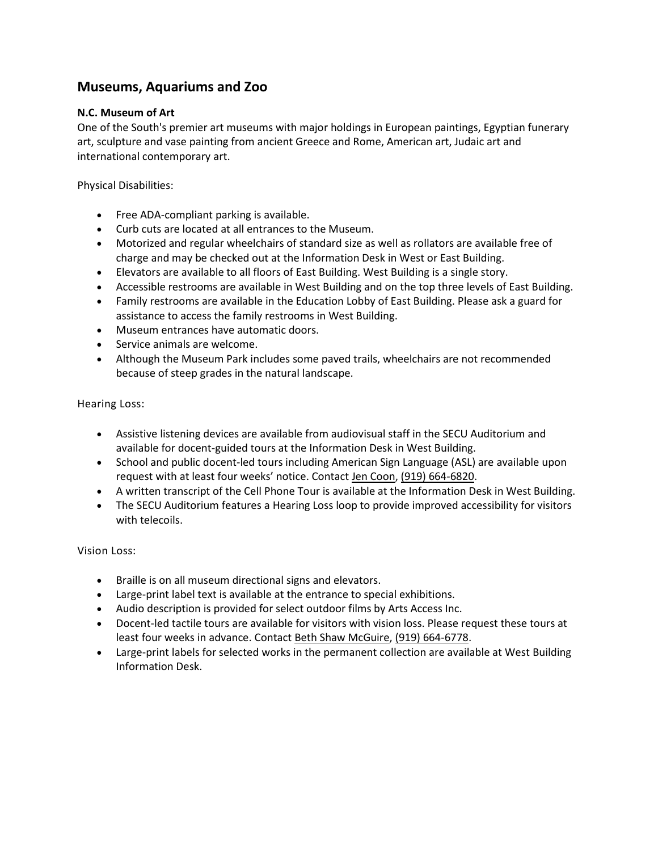# **Museums, Aquariums and Zoo**

# **N.C. Museum of Art**

One of the South's premier art museums with major holdings in European paintings, Egyptian funerary art, sculpture and vase painting from ancient Greece and Rome, American art, Judaic art and international contemporary art.

Physical Disabilities:

- Free ADA-compliant parking is available.
- Curb cuts are located at all entrances to the Museum.
- Motorized and regular wheelchairs of standard size as well as rollators are available free of charge and may be checked out at the Information Desk in West or East Building.
- Elevators are available to all floors of East Building. West Building is a single story.
- Accessible restrooms are available in West Building and on the top three levels of East Building.
- Family restrooms are available in the Education Lobby of East Building. Please ask a guard for assistance to access the family restrooms in West Building.
- Museum entrances have automatic doors.
- Service animals are welcome.
- Although the Museum Park includes some paved trails, wheelchairs are not recommended because of steep grades in the natural landscape.

Hearing Loss:

- Assistive listening devices are available from audiovisual staff in the SECU Auditorium and available for docent-guided tours at the Information Desk in West Building.
- School and public docent-led tours including American Sign Language (ASL) are available upon request with at least four weeks' notice. Contact [Jen Coon,](mailto:jcoon@ncartmuseum.org?subject=Hearing-Impaired%20Tour%20request) [\(919\) 664-6820.](tel:(919)%20664-6820)
- A written transcript of the Cell Phone Tour is available at the Information Desk in West Building.
- The SECU Auditorium features a Hearing Loss loop to provide improved accessibility for visitors with telecoils.

- Braille is on all museum directional signs and elevators.
- Large-print label text is available at the entrance to special exhibitions.
- Audio description is provided for select outdoor films by Arts Access Inc.
- Docent-led tactile tours are available for visitors with vision loss. Please request these tours at least four weeks in advance. Contact [Beth Shaw McGuire,](mailto:beth.mcguire@ncdcr.gov?subject=Tactile%20Tour%20Request) [\(919\) 664-6778.](tel:(919)%20664-6778)
- Large-print labels for selected works in the permanent collection are available at West Building Information Desk.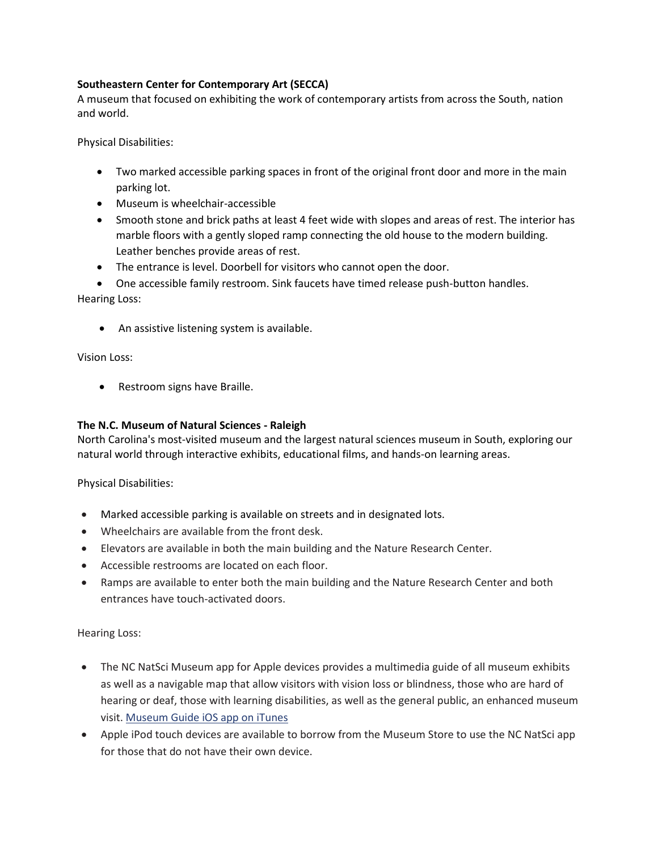# **Southeastern Center for Contemporary Art (SECCA)**

A museum that focused on exhibiting the work of contemporary artists from across the South, nation and world.

Physical Disabilities:

- Two marked accessible parking spaces in front of the original front door and more in the main parking lot.
- Museum is wheelchair-accessible
- Smooth stone and brick paths at least 4 feet wide with slopes and areas of rest. The interior has marble floors with a gently sloped ramp connecting the old house to the modern building. Leather benches provide areas of rest.
- The entrance is level. Doorbell for visitors who cannot open the door.
- One accessible family restroom. Sink faucets have timed release push-button handles.

Hearing Loss:

• An assistive listening system is available.

Vision Loss:

• Restroom signs have Braille.

# **The N.C. Museum of Natural Sciences - Raleigh**

North Carolina's most-visited museum and the largest natural sciences museum in South, exploring our natural world through interactive exhibits, educational films, and hands-on learning areas.

Physical Disabilities:

- Marked accessible parking is available on streets and in designated lots.
- Wheelchairs are available from the front desk.
- Elevators are available in both the main building and the Nature Research Center.
- Accessible restrooms are located on each floor.
- Ramps are available to enter both the main building and the Nature Research Center and both entrances have touch-activated doors.

Hearing Loss:

- The NC NatSci Museum app for Apple devices provides a multimedia guide of all museum exhibits as well as a navigable map that allow visitors with vision loss or blindness, those who are hard of hearing or deaf, those with learning disabilities, as well as the general public, an enhanced museum visit. [Museum](https://itunes.apple.com/us/app/north-carolina-museum-natural/id920517171?mt=8) Guide iOS app on iTunes
- Apple iPod touch devices are available to borrow from the Museum Store to use the NC NatSci app for those that do not have their own device.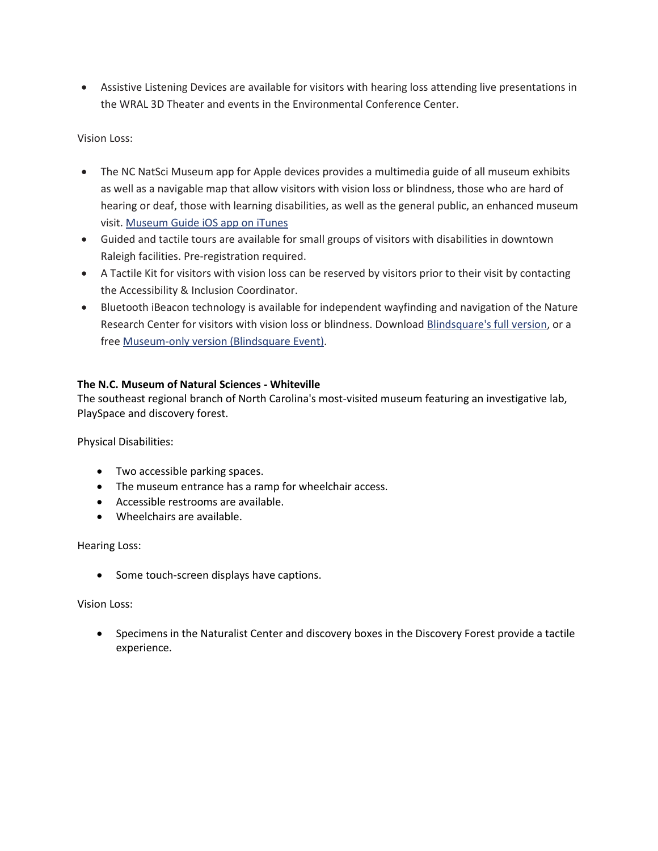• Assistive Listening Devices are available for visitors with hearing loss attending live presentations in the WRAL 3D Theater and events in the Environmental Conference Center.

## Vision Loss:

- The NC NatSci Museum app for Apple devices provides a multimedia guide of all museum exhibits as well as a navigable map that allow visitors with vision loss or blindness, those who are hard of hearing or deaf, those with learning disabilities, as well as the general public, an enhanced museum visit. [Museum](https://itunes.apple.com/us/app/north-carolina-museum-natural/id920517171?mt=8) Guide iOS app on iTunes
- Guided and tactile tours are available for small groups of visitors with disabilities in downtown Raleigh facilities. Pre-registration required.
- A Tactile Kit for visitors with vision loss can be reserved by visitors prior to their visit by contacting the Accessibility & Inclusion Coordinator.
- Bluetooth iBeacon technology is available for independent wayfinding and navigation of the Nature Research Center for visitors with vision loss or blindness. Download [Blindsquare's](https://itunes.apple.com/us/app/blindsquare/id500557255?mt=8) full version, or a free [Museum-only](https://itunes.apple.com/us/app/blindsq-event/id635707709?mt=8) version (Blindsquare Event).

# **The N.C. Museum of Natural Sciences - Whiteville**

The southeast regional branch of North Carolina's most-visited museum featuring an investigative lab, PlaySpace and discovery forest.

Physical Disabilities:

- Two accessible parking spaces.
- The museum entrance has a ramp for wheelchair access.
- Accessible restrooms are available.
- Wheelchairs are available.

Hearing Loss:

• Some touch-screen displays have captions.

Vision Loss:

• Specimens in the Naturalist Center and discovery boxes in the Discovery Forest provide a tactile experience.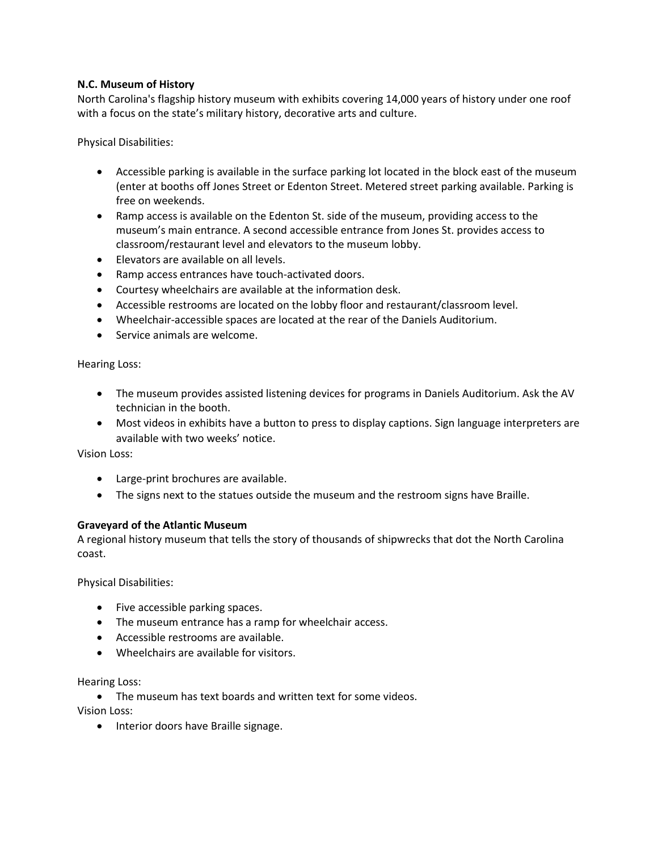## **N.C. Museum of History**

North Carolina's flagship history museum with exhibits covering 14,000 years of history under one roof with a focus on the state's military history, decorative arts and culture.

Physical Disabilities:

- Accessible parking is available in the surface parking lot located in the block east of the museum (enter at booths off Jones Street or Edenton Street. Metered street parking available. Parking is free on weekends.
- Ramp access is available on the Edenton St. side of the museum, providing access to the museum's main entrance. A second accessible entrance from Jones St. provides access to classroom/restaurant level and elevators to the museum lobby.
- Elevators are available on all levels.
- Ramp access entrances have touch-activated doors.
- Courtesy wheelchairs are available at the information desk.
- Accessible restrooms are located on the lobby floor and restaurant/classroom level.
- Wheelchair-accessible spaces are located at the rear of the Daniels Auditorium.
- Service animals are welcome.

Hearing Loss:

- The museum provides assisted listening devices for programs in Daniels Auditorium. Ask the AV technician in the booth.
- Most videos in exhibits have a button to press to display captions. Sign language interpreters are available with two weeks' notice.

Vision Loss:

- Large-print brochures are available.
- The signs next to the statues outside the museum and the restroom signs have Braille.

## **Graveyard of the Atlantic Museum**

A regional history museum that tells the story of thousands of shipwrecks that dot the North Carolina coast.

Physical Disabilities:

- Five accessible parking spaces.
- The museum entrance has a ramp for wheelchair access.
- Accessible restrooms are available.
- Wheelchairs are available for visitors.

Hearing Loss:

• The museum has text boards and written text for some videos.

Vision Loss:

• Interior doors have Braille signage.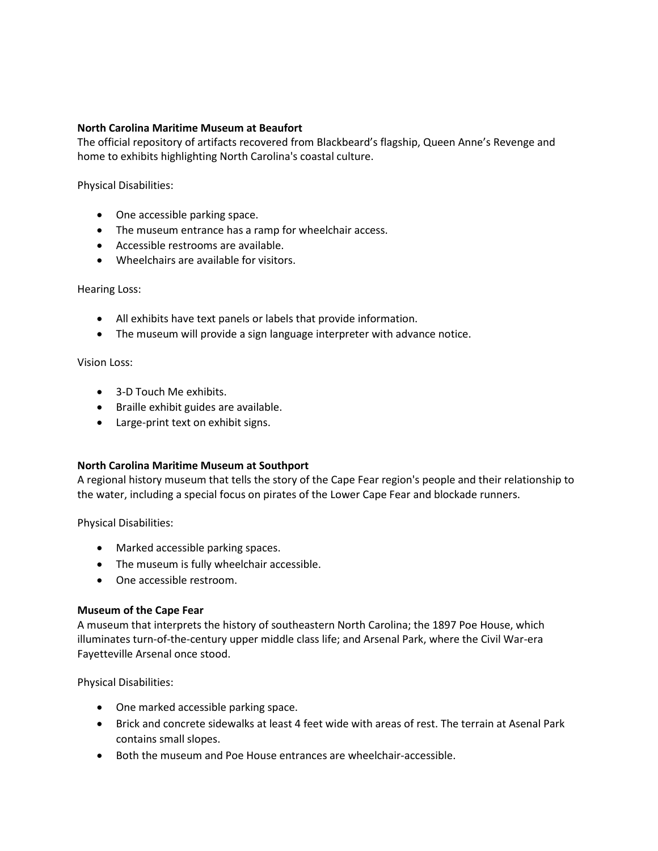#### **North Carolina Maritime Museum at Beaufort**

The official repository of artifacts recovered from Blackbeard's flagship, Queen Anne's Revenge and home to exhibits highlighting North Carolina's coastal culture.

Physical Disabilities:

- One accessible parking space.
- The museum entrance has a ramp for wheelchair access.
- Accessible restrooms are available.
- Wheelchairs are available for visitors.

#### Hearing Loss:

- All exhibits have text panels or labels that provide information.
- The museum will provide a sign language interpreter with advance notice.

#### Vision Loss:

- 3-D Touch Me exhibits.
- Braille exhibit guides are available.
- Large-print text on exhibit signs.

## **North Carolina Maritime Museum at Southport**

A regional history museum that tells the story of the Cape Fear region's people and their relationship to the water, including a special focus on pirates of the Lower Cape Fear and blockade runners.

Physical Disabilities:

- Marked accessible parking spaces.
- The museum is fully wheelchair accessible.
- One accessible restroom.

## **Museum of the Cape Fear**

A museum that interprets the history of southeastern North Carolina; the 1897 Poe House, which illuminates turn-of-the-century upper middle class life; and Arsenal Park, where the Civil War-era Fayetteville Arsenal once stood.

Physical Disabilities:

- One marked accessible parking space.
- Brick and concrete sidewalks at least 4 feet wide with areas of rest. The terrain at Asenal Park contains small slopes.
- Both the museum and Poe House entrances are wheelchair-accessible.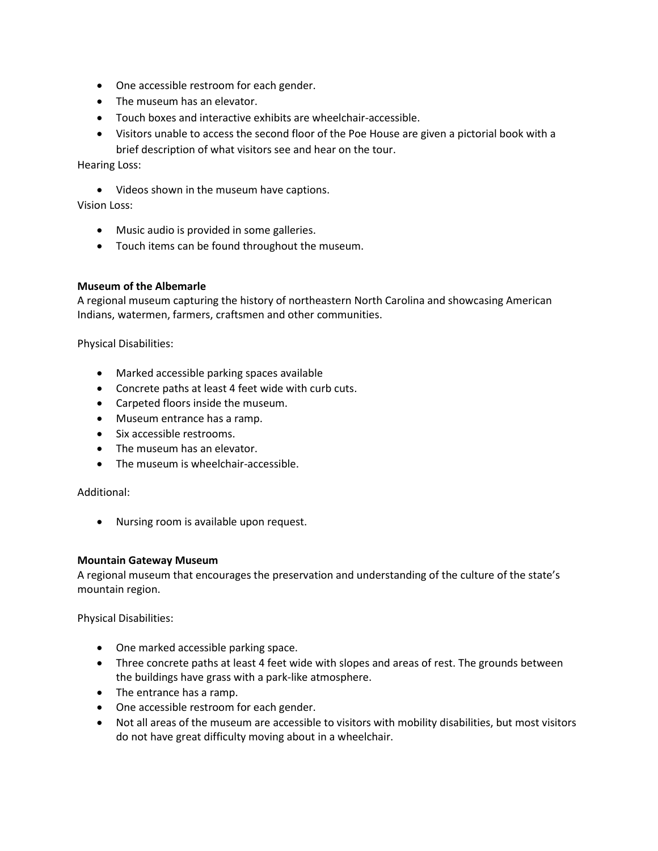- One accessible restroom for each gender.
- The museum has an elevator.
- Touch boxes and interactive exhibits are wheelchair-accessible.

• Visitors unable to access the second floor of the Poe House are given a pictorial book with a brief description of what visitors see and hear on the tour.

Hearing Loss:

• Videos shown in the museum have captions.

Vision Loss:

- Music audio is provided in some galleries.
- Touch items can be found throughout the museum.

#### **Museum of the Albemarle**

A regional museum capturing the history of northeastern North Carolina and showcasing American Indians, watermen, farmers, craftsmen and other communities.

Physical Disabilities:

- Marked accessible parking spaces available
- Concrete paths at least 4 feet wide with curb cuts.
- Carpeted floors inside the museum.
- Museum entrance has a ramp.
- Six accessible restrooms.
- The museum has an elevator.
- The museum is wheelchair-accessible.

Additional:

• Nursing room is available upon request.

#### **Mountain Gateway Museum**

A regional museum that encourages the preservation and understanding of the culture of the state's mountain region.

Physical Disabilities:

- One marked accessible parking space.
- Three concrete paths at least 4 feet wide with slopes and areas of rest. The grounds between the buildings have grass with a park-like atmosphere.
- The entrance has a ramp.
- One accessible restroom for each gender.
- Not all areas of the museum are accessible to visitors with mobility disabilities, but most visitors do not have great difficulty moving about in a wheelchair.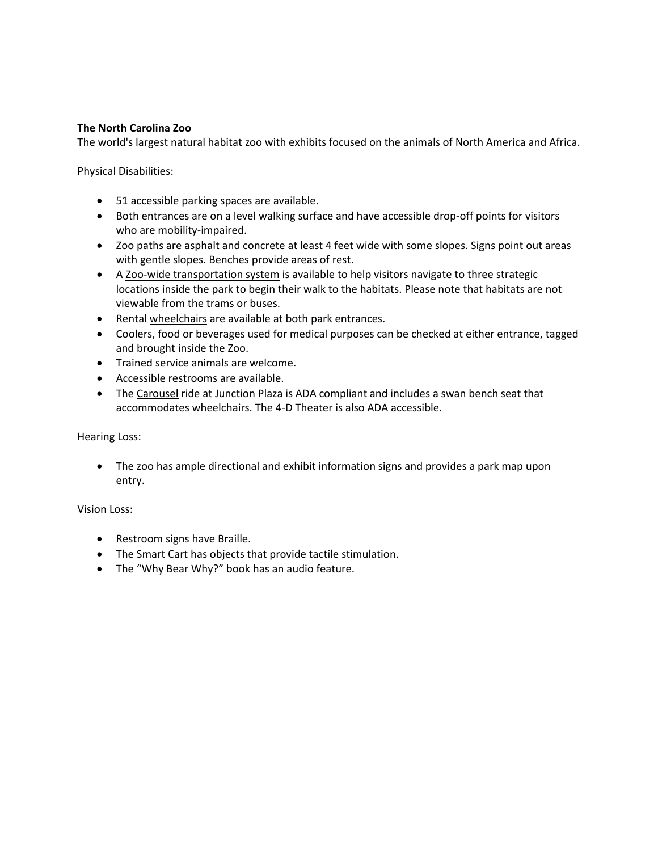### **The North Carolina Zoo**

The world's largest natural habitat zoo with exhibits focused on the animals of North America and Africa.

Physical Disabilities:

- 51 accessible parking spaces are available.
- Both entrances are on a level walking surface and have accessible drop-off points for visitors who are mobility-impaired.
- Zoo paths are asphalt and concrete at least 4 feet wide with some slopes. Signs point out areas with gentle slopes. Benches provide areas of rest.
- A [Zoo-wide transportation system](http://www.nczoo.org/subpages.aspx?pageID=12633®ion=Plan%20Your%20Visit&CNM=Plan%20Your%20Visit&CID=212&desc=false&listingID=4372&contentPage=true) is available to help visitors navigate to three strategic locations inside the park to begin their walk to the habitats. Please note that habitats are not viewable from the trams or buses.
- Rental [wheelchairs](http://www.nczoo.org/subpages.aspx?pageID=12633®ion=Plan+Your+Visit&CNM=Plan+Your+Visit&CID=212&desc=false&listingID=6541&contentPage=true) are available at both park entrances.
- Coolers, food or beverages used for medical purposes can be checked at either entrance, tagged and brought inside the Zoo.
- Trained service animals are welcome.
- Accessible restrooms are available.
- The [Carousel](http://www.nczoo.org/subpages.aspx?pageID=12642®ion=Attractions&CNM=Attractions&CID=210&contentPage=true&desc=false&listingID=4344) ride at Junction Plaza is ADA compliant and includes a swan bench seat that accommodates wheelchairs. The 4-D Theater is also ADA accessible.

#### Hearing Loss:

• The zoo has ample directional and exhibit information signs and provides a park map upon entry.

- Restroom signs have Braille.
- The Smart Cart has objects that provide tactile stimulation.
- The "Why Bear Why?" book has an audio feature.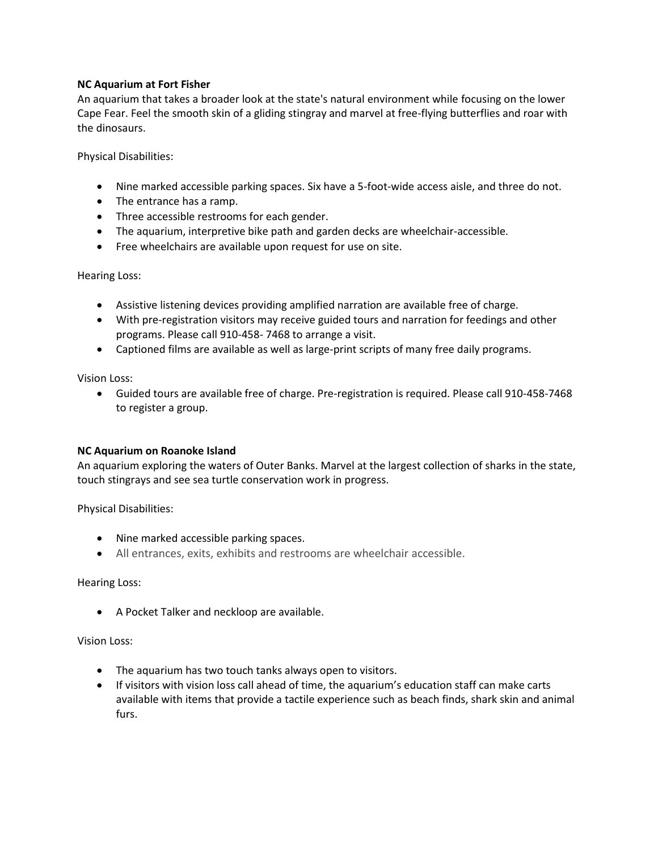# **NC Aquarium at Fort Fisher**

An aquarium that takes a broader look at the state's natural environment while focusing on the lower Cape Fear. Feel the smooth skin of a gliding stingray and marvel at free-flying butterflies and roar with the dinosaurs.

Physical Disabilities:

- Nine marked accessible parking spaces. Six have a 5-foot-wide access aisle, and three do not.
- The entrance has a ramp.
- Three accessible restrooms for each gender.
- The aquarium, interpretive bike path and garden decks are wheelchair-accessible.
- Free wheelchairs are available upon request for use on site.

Hearing Loss:

- Assistive listening devices providing amplified narration are available free of charge.
- With pre-registration visitors may receive guided tours and narration for feedings and other programs. Please call 910-458- 7468 to arrange a visit.
- Captioned films are available as well as large-print scripts of many free daily programs.

Vision Loss:

• Guided tours are available free of charge. Pre-registration is required. Please call 910-458-7468 to register a group.

## **NC Aquarium on Roanoke Island**

An aquarium exploring the waters of Outer Banks. Marvel at the largest collection of sharks in the state, touch stingrays and see sea turtle conservation work in progress.

Physical Disabilities:

- Nine marked accessible parking spaces.
- All entrances, exits, exhibits and restrooms are wheelchair accessible.

Hearing Loss:

• A Pocket Talker and neckloop are available.

- The aquarium has two touch tanks always open to visitors.
- If visitors with vision loss call ahead of time, the aquarium's education staff can make carts available with items that provide a tactile experience such as beach finds, shark skin and animal furs.